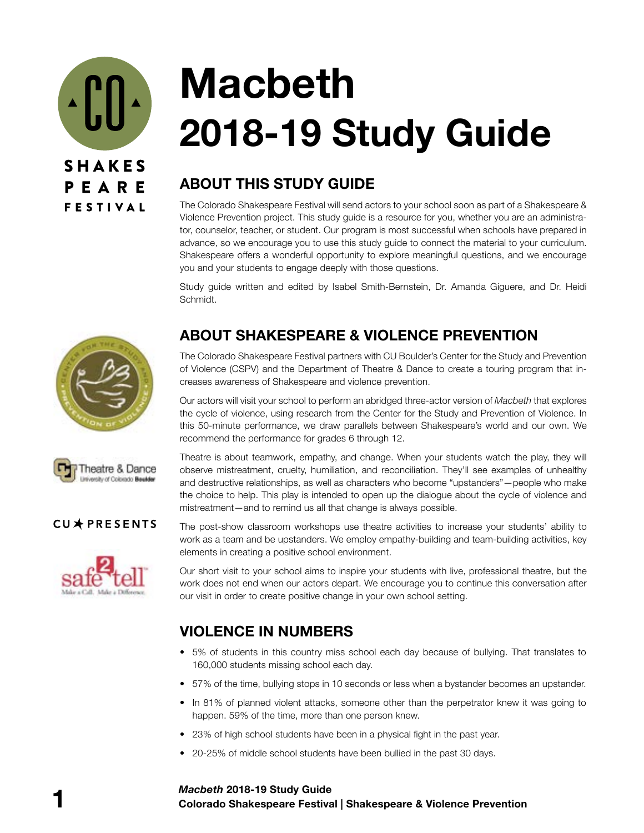

# **Macbeth 2018-19 Study Guide**

## **ABOUT THIS STUDY GUIDE**

The Colorado Shakespeare Festival will send actors to your school soon as part of a Shakespeare & Violence Prevention project. This study guide is a resource for you, whether you are an administrator, counselor, teacher, or student. Our program is most successful when schools have prepared in advance, so we encourage you to use this study guide to connect the material to your curriculum. Shakespeare offers a wonderful opportunity to explore meaningful questions, and we encourage you and your students to engage deeply with those questions.

Study guide written and edited by Isabel Smith-Bernstein, Dr. Amanda Giguere, and Dr. Heidi Schmidt.





### CU\*PRESENTS



## **ABOUT SHAKESPEARE & VIOLENCE PREVENTION**

The Colorado Shakespeare Festival partners with CU Boulder's Center for the Study and Prevention of Violence (CSPV) and the Department of Theatre & Dance to create a touring program that increases awareness of Shakespeare and violence prevention.

Our actors will visit your school to perform an abridged three-actor version of *Macbeth* that explores the cycle of violence, using research from the Center for the Study and Prevention of Violence. In this 50-minute performance, we draw parallels between Shakespeare's world and our own. We recommend the performance for grades 6 through 12.

Theatre is about teamwork, empathy, and change. When your students watch the play, they will observe mistreatment, cruelty, humiliation, and reconciliation. They'll see examples of unhealthy and destructive relationships, as well as characters who become "upstanders"—people who make the choice to help. This play is intended to open up the dialogue about the cycle of violence and mistreatment—and to remind us all that change is always possible.

The post-show classroom workshops use theatre activities to increase your students' ability to work as a team and be upstanders. We employ empathy-building and team-building activities, key elements in creating a positive school environment.

Our short visit to your school aims to inspire your students with live, professional theatre, but the work does not end when our actors depart. We encourage you to continue this conversation after our visit in order to create positive change in your own school setting.

## **VIOLENCE IN NUMBERS**

- 5% of students in this country miss school each day because of bullying. That translates to 160,000 students missing school each day.
- 57% of the time, bullying stops in 10 seconds or less when a bystander becomes an upstander.
- In 81% of planned violent attacks, someone other than the perpetrator knew it was going to happen. 59% of the time, more than one person knew.
- 23% of high school students have been in a physical fight in the past year.
- 20-25% of middle school students have been bullied in the past 30 days.

#### **1 Colorado Shakespeare Festival | Shakespeare & Violence Prevention** *Macbeth* **2018-19 Study Guide**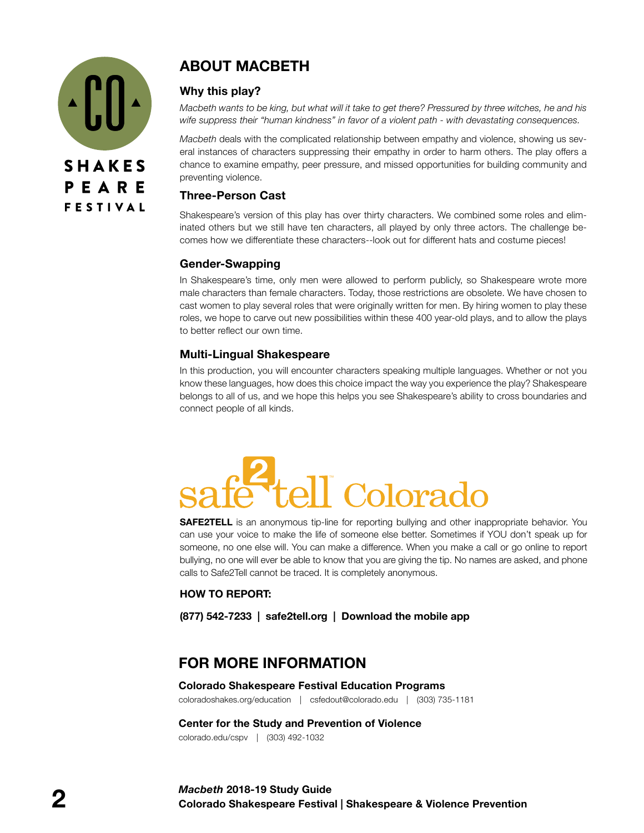

## **ABOUT MACBETH**

#### **Why this play?**

*Macbeth wants to be king, but what will it take to get there? Pressured by three witches, he and his wife suppress their "human kindness" in favor of a violent path - with devastating consequences.* 

*Macbeth* deals with the complicated relationship between empathy and violence, showing us several instances of characters suppressing their empathy in order to harm others. The play offers a chance to examine empathy, peer pressure, and missed opportunities for building community and preventing violence.

#### **Three-Person Cast**

Shakespeare's version of this play has over thirty characters. We combined some roles and eliminated others but we still have ten characters, all played by only three actors. The challenge becomes how we differentiate these characters--look out for different hats and costume pieces!

#### **Gender-Swapping**

In Shakespeare's time, only men were allowed to perform publicly, so Shakespeare wrote more male characters than female characters. Today, those restrictions are obsolete. We have chosen to cast women to play several roles that were originally written for men. By hiring women to play these roles, we hope to carve out new possibilities within these 400 year-old plays, and to allow the plays to better reflect our own time.

#### **Multi-Lingual Shakespeare**

In this production, you will encounter characters speaking multiple languages. Whether or not you know these languages, how does this choice impact the way you experience the play? Shakespeare belongs to all of us, and we hope this helps you see Shakespeare's ability to cross boundaries and connect people of all kinds.

# Colorad

**SAFE2TELL** is an anonymous tip-line for reporting bullying and other inappropriate behavior. You can use your voice to make the life of someone else better. Sometimes if YOU don't speak up for someone, no one else will. You can make a difference. When you make a call or go online to report bullying, no one will ever be able to know that you are giving the tip. No names are asked, and phone calls to Safe2Tell cannot be traced. It is completely anonymous.

#### **HOW TO REPORT:**

**(877) 542-7233 | safe2tell.org | Download the mobile app**

## **FOR MORE INFORMATION**

#### **Colorado Shakespeare Festival Education Programs** coloradoshakes.org/education | csfedout@colorado.edu | (303) 735-1181

**Center for the Study and Prevention of Violence** colorado.edu/cspv | (303) 492-1032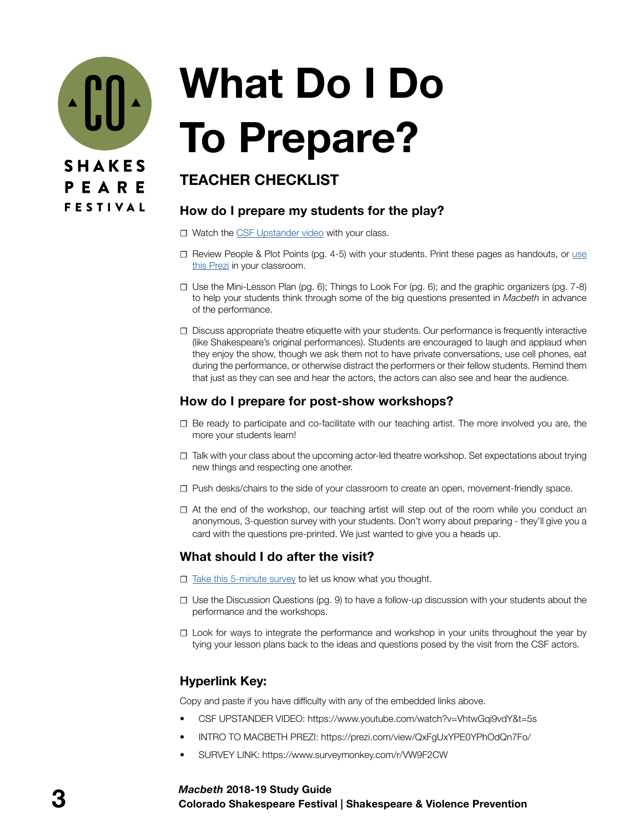

# **What Do I Do To Prepare?**

## **TEACHER CHECKLIST**

### **How do I prepare my students for the play?**

- **☐** Watch the [CSF Upstander video](https://www.youtube.com/watch?v=VhtwGqi9vdY&t=5s) with your class.
- **☐** Review People & Plot Points (pg. 4-5) with your students. Print these pages as handouts, or use thi[s Prezi](https://prezi.com/view/QxFgUxYPE0YPhOdQn7Fo/) in your classroom.
- **☐** Use the Mini-Lesson Plan (pg. 6); Things to Look For (pg. 6); and the graphic organizers (pg. 7-8) to help your students think through some of the big questions presented in *Macbeth* in advance of the performance.
- **☐** Discuss appropriate theatre etiquette with your students. Our performance is frequently interactive (like Shakespeare's original performances). Students are encouraged to laugh and applaud when they enjoy the show, though we ask them not to have private conversations, use cell phones, eat during the performance, or otherwise distract the performers or their fellow students. Remind them that just as they can see and hear the actors, the actors can also see and hear the audience.

### **How do I prepare for post-show workshops?**

- **☐** Be ready to participate and co-facilitate with our teaching artist. The more involved you are, the more your students learn!
- **☐** Talk with your class about the upcoming actor-led theatre workshop. Set expectations about trying new things and respecting one another.
- **☐** Push desks/chairs to the side of your classroom to create an open, movement-friendly space.
- **☐** At the end of the workshop, our teaching artist will step out of the room while you conduct an anonymous, 3-question survey with your students. Don't worry about preparing - they'll give you a card with the questions pre-printed. We just wanted to give you a heads up.

### **What should I do after the visit?**

- **□** [Take this 5-minute survey](https://www.surveymonkey.com/r/VW9F2CW) to let us know what you thought.
- **☐** Use the Discussion Questions (pg. 9) to have a follow-up discussion with your students about the performance and the workshops.
- **☐** Look for ways to integrate the performance and workshop in your units throughout the year by tying your lesson plans back to the ideas and questions posed by the visit from the CSF actors.

### **Hyperlink Key:**

Copy and paste if you have difficulty with any of the embedded links above.

- CSF UPSTANDER VIDEO: https://www.youtube.com/watch?v=VhtwGqi9vdY&t=5s
- INTRO TO MACBETH PREZI: https://prezi.com/view/QxFgUxYPE0YPhOdQn7Fo/
- SURVEY LINK: https://www.surveymonkey.com/r/VW9F2CW

#### **3 Colorado Shakespeare Festival | Shakespeare & Violence Prevention** *Macbeth* **2018-19 Study Guide**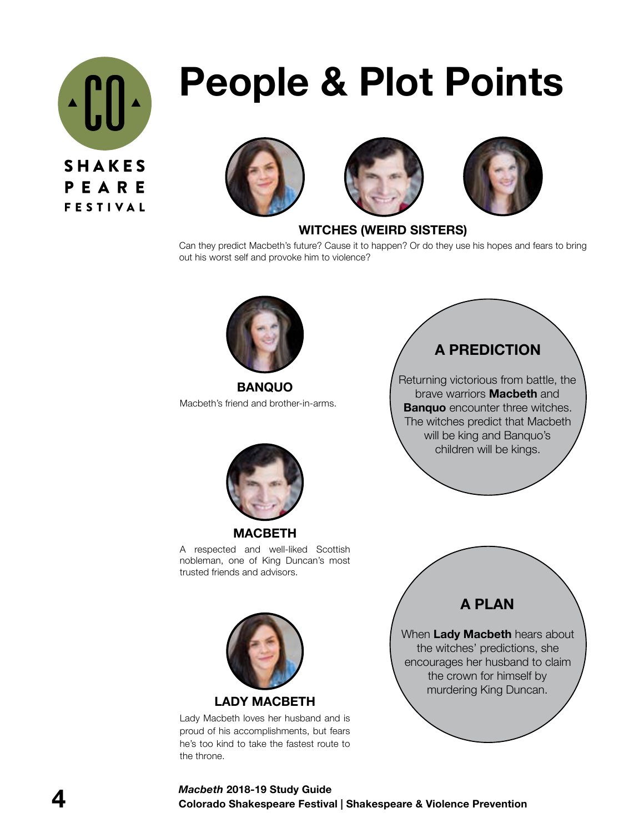

## **People & Plot Points**







### **WITCHES (WEIRD SISTERS)**

Can they predict Macbeth's future? Cause it to happen? Or do they use his hopes and fears to bring out his worst self and provoke him to violence?



**BANQUO** Macbeth's friend and brother-in-arms.



**MACBETH**  A respected and well-liked Scottish nobleman, one of King Duncan's most trusted friends and advisors.



Lady Macbeth loves her husband and is proud of his accomplishments, but fears he's too kind to take the fastest route to the throne.

**A PREDICTION**

Returning victorious from battle, the brave warriors **Macbeth** and **Banquo** encounter three witches. The witches predict that Macbeth will be king and Banquo's children will be kings.

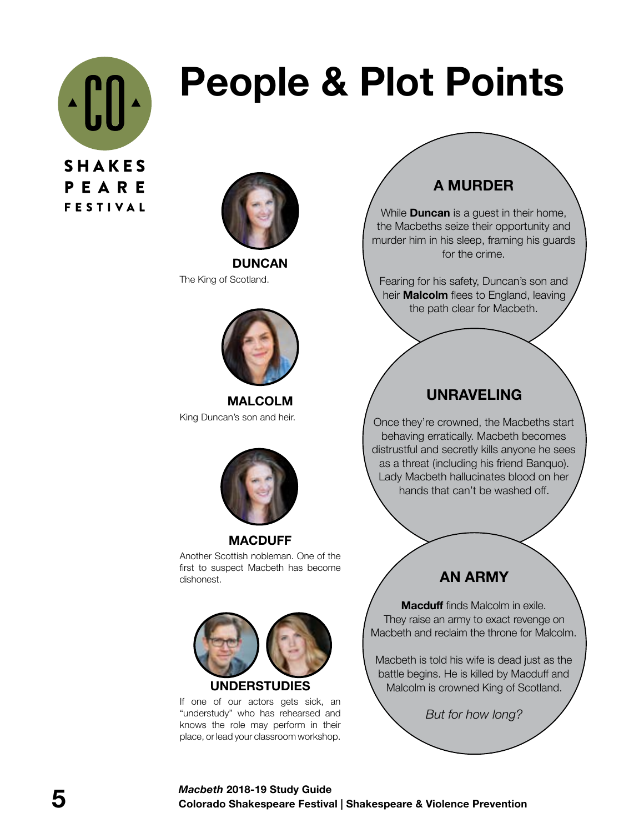

# **People & Plot Points**



**DUNCAN** The King of Scotland.



**MALCOLM** King Duncan's son and heir.



**MACDUFF** Another Scottish nobleman. One of the first to suspect Macbeth has become dishonest.



**UNDERSTUDIES**

If one of our actors gets sick, an "understudy" who has rehearsed and knows the role may perform in their place, or lead your classroom workshop.

## **A MURDER**

While **Duncan** is a guest in their home, the Macbeths seize their opportunity and murder him in his sleep, framing his guards for the crime.

Fearing for his safety, Duncan's son and heir **Malcolm** flees to England, leaving the path clear for Macbeth.

## **UNRAVELING**

Once they're crowned, the Macbeths start behaving erratically. Macbeth becomes distrustful and secretly kills anyone he sees as a threat (including his friend Banquo). Lady Macbeth hallucinates blood on her hands that can't be washed off.

## **AN ARMY**

**Macduff** finds Malcolm in exile. They raise an army to exact revenge on Macbeth and reclaim the throne for Malcolm.

Macbeth is told his wife is dead just as the battle begins. He is killed by Macduff and Malcolm is crowned King of Scotland.

*But for how long?*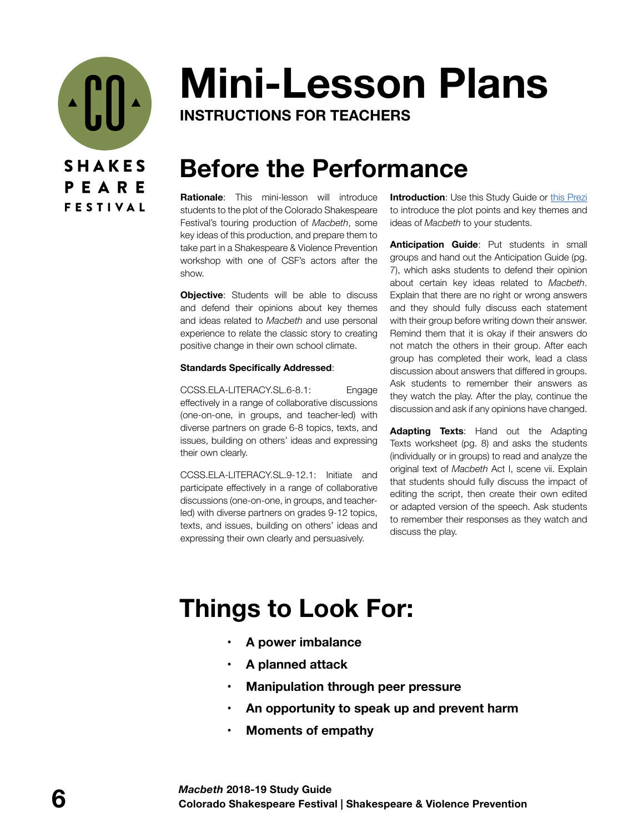

# **Mini-Lesson Plans**

**INSTRUCTIONS FOR TEACHERS**

## **Before the Performance**

**Rationale**: This mini-lesson will introduce students to the plot of the Colorado Shakespeare Festival's touring production of *Macbeth*, some key ideas of this production, and prepare them to take part in a Shakespeare & Violence Prevention workshop with one of CSF's actors after the show.

**Objective**: Students will be able to discuss and defend their opinions about key themes and ideas related to *Macbeth* and use personal experience to relate the classic story to creating positive change in their own school climate.

#### **Standards Specifically Addressed**:

CCSS.ELA-LITERACY.SL.6-8.1: Engage effectively in a range of collaborative discussions (one-on-one, in groups, and teacher-led) with diverse partners on grade 6-8 topics, texts, and issues, building on others' ideas and expressing their own clearly.

CCSS.ELA-LITERACY.SL.9-12.1: Initiate and participate effectively in a range of collaborative discussions (one-on-one, in groups, and teacherled) with diverse partners on grades 9-12 topics, texts, and issues, building on others' ideas and expressing their own clearly and persuasively.

**Introduction:** Use this Study Guide or [this Prezi](https://prezi.com/view/QxFgUxYPE0YPhOdQn7Fo/) to introduce the plot points and key themes and ideas of *Macbeth* to your students.

**Anticipation Guide**: Put students in small groups and hand out the Anticipation Guide (pg. 7), which asks students to defend their opinion about certain key ideas related to *Macbeth*. Explain that there are no right or wrong answers and they should fully discuss each statement with their group before writing down their answer. Remind them that it is okay if their answers do not match the others in their group. After each group has completed their work, lead a class discussion about answers that differed in groups. Ask students to remember their answers as they watch the play. After the play, continue the discussion and ask if any opinions have changed.

**Adapting Texts**: Hand out the Adapting Texts worksheet (pg. 8) and asks the students (individually or in groups) to read and analyze the original text of *Macbeth* Act I, scene vii. Explain that students should fully discuss the impact of editing the script, then create their own edited or adapted version of the speech. Ask students to remember their responses as they watch and discuss the play.

## **Things to Look For:**

- **• A power imbalance**
- **• A planned attack**
- **• Manipulation through peer pressure**
- **• An opportunity to speak up and prevent harm**
- **• Moments of empathy**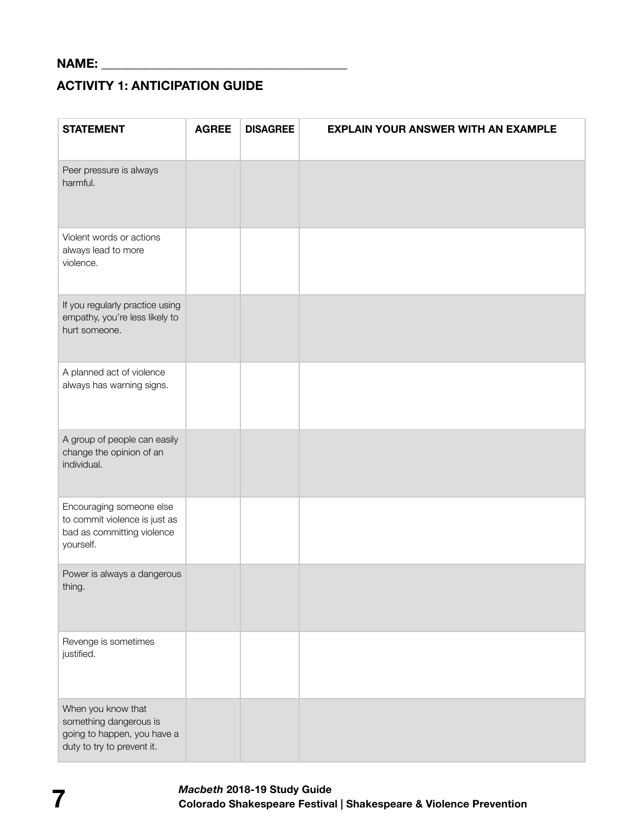## **ACTIVITY 1: ANTICIPATION GUIDE**

| <b>STATEMENT</b>                                                                                          | <b>AGREE</b> | <b>DISAGREE</b> | <b>EXPLAIN YOUR ANSWER WITH AN EXAMPLE</b> |
|-----------------------------------------------------------------------------------------------------------|--------------|-----------------|--------------------------------------------|
| Peer pressure is always<br>harmful.                                                                       |              |                 |                                            |
| Violent words or actions<br>always lead to more<br>violence.                                              |              |                 |                                            |
| If you regularly practice using<br>empathy, you're less likely to<br>hurt someone.                        |              |                 |                                            |
| A planned act of violence<br>always has warning signs.                                                    |              |                 |                                            |
| A group of people can easily<br>change the opinion of an<br>individual.                                   |              |                 |                                            |
| Encouraging someone else<br>to commit violence is just as<br>bad as committing violence<br>yourself.      |              |                 |                                            |
| Power is always a dangerous<br>thing.                                                                     |              |                 |                                            |
| Revenge is sometimes<br>justified.                                                                        |              |                 |                                            |
| When you know that<br>something dangerous is<br>going to happen, you have a<br>duty to try to prevent it. |              |                 |                                            |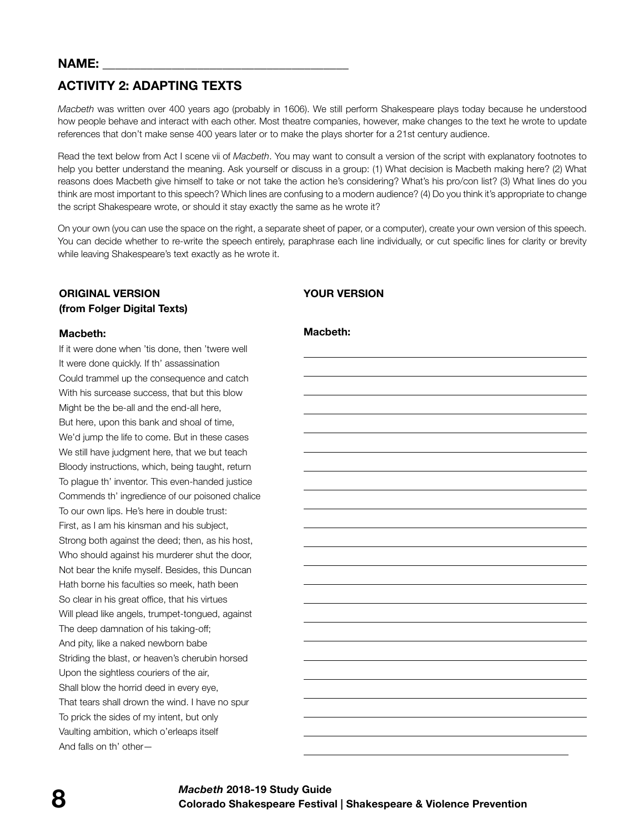## **ACTIVITY 2: ADAPTING TEXTS**

*Macbeth* was written over 400 years ago (probably in 1606). We still perform Shakespeare plays today because he understood how people behave and interact with each other. Most theatre companies, however, make changes to the text he wrote to update references that don't make sense 400 years later or to make the plays shorter for a 21st century audience.

Read the text below from Act I scene vii of *Macbeth*. You may want to consult a version of the script with explanatory footnotes to help you better understand the meaning. Ask yourself or discuss in a group: (1) What decision is Macbeth making here? (2) What reasons does Macbeth give himself to take or not take the action he's considering? What's his pro/con list? (3) What lines do you think are most important to this speech? Which lines are confusing to a modern audience? (4) Do you think it's appropriate to change the script Shakespeare wrote, or should it stay exactly the same as he wrote it?

On your own (you can use the space on the right, a separate sheet of paper, or a computer), create your own version of this speech. You can decide whether to re-write the speech entirely, paraphrase each line individually, or cut specific lines for clarity or brevity while leaving Shakespeare's text exactly as he wrote it.

#### **ORIGINAL VERSION (from Folger Digital Texts)**

### **Macbeth:**

If it were done when 'tis done, then 'twere well It were done quickly. If th' assassination Could trammel up the consequence and catch With his surcease success, that but this blow Might be the be-all and the end-all here, But here, upon this bank and shoal of time, We'd jump the life to come. But in these cases We still have judgment here, that we but teach Bloody instructions, which, being taught, return To plague th' inventor. This even-handed justice Commends th' ingredience of our poisoned chalice To our own lips. He's here in double trust: First, as I am his kinsman and his subject, Strong both against the deed; then, as his host, Who should against his murderer shut the door, Not bear the knife myself. Besides, this Duncan Hath borne his faculties so meek, hath been So clear in his great office, that his virtues Will plead like angels, trumpet-tongued, against The deep damnation of his taking-off; And pity, like a naked newborn babe Striding the blast, or heaven's cherubin horsed Upon the sightless couriers of the air, Shall blow the horrid deed in every eye, That tears shall drown the wind. I have no spur To prick the sides of my intent, but only Vaulting ambition, which o'erleaps itself And falls on th' other—

## **YOUR VERSION**

#### **Macbeth:**

 $\overline{a}$ 

 $\overline{a}$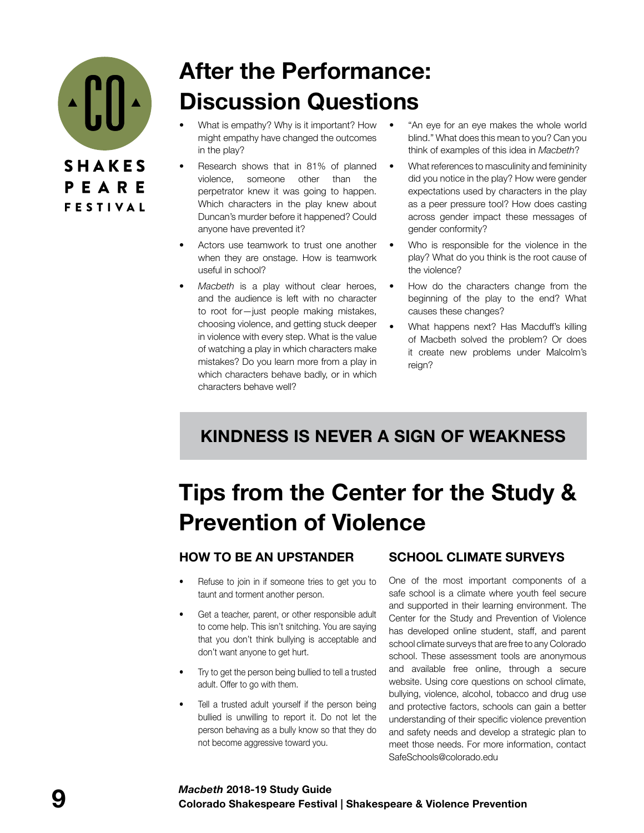

## **After the Performance: Discussion Questions**

- What is empathy? Why is it important? How might empathy have changed the outcomes in the play?
- Research shows that in 81% of planned violence, someone other than the perpetrator knew it was going to happen. Which characters in the play knew about Duncan's murder before it happened? Could anyone have prevented it?
- Actors use teamwork to trust one another when they are onstage. How is teamwork useful in school?
- *• Macbeth* is a play without clear heroes, and the audience is left with no character to root for—just people making mistakes, choosing violence, and getting stuck deeper in violence with every step. What is the value of watching a play in which characters make mistakes? Do you learn more from a play in which characters behave badly, or in which characters behave well?
- "An eye for an eye makes the whole world blind." What does this mean to you? Can you think of examples of this idea in *Macbeth*?
- What references to masculinity and femininity did you notice in the play? How were gender expectations used by characters in the play as a peer pressure tool? How does casting across gender impact these messages of gender conformity?
- Who is responsible for the violence in the play? What do you think is the root cause of the violence?
- How do the characters change from the beginning of the play to the end? What causes these changes?
- What happens next? Has Macduff's killing of Macbeth solved the problem? Or does it create new problems under Malcolm's reign?

## **KINDNESS IS NEVER A SIGN OF WEAKNESS**

## **Tips from the Center for the Study & Prevention of Violence**

### **HOW TO BE AN UPSTANDER**

- Refuse to join in if someone tries to get you to taunt and torment another person.
- Get a teacher, parent, or other responsible adult to come help. This isn't snitching. You are saying that you don't think bullying is acceptable and don't want anyone to get hurt.
- Try to get the person being bullied to tell a trusted adult. Offer to go with them.
- Tell a trusted adult yourself if the person being bullied is unwilling to report it. Do not let the person behaving as a bully know so that they do not become aggressive toward you.

### **SCHOOL CLIMATE SURVEYS**

One of the most important components of a safe school is a climate where youth feel secure and supported in their learning environment. The Center for the Study and Prevention of Violence has developed online student, staff, and parent school climate surveys that are free to any Colorado school. These assessment tools are anonymous and available free online, through a secure website. Using core questions on school climate, bullying, violence, alcohol, tobacco and drug use and protective factors, schools can gain a better understanding of their specific violence prevention and safety needs and develop a strategic plan to meet those needs. For more information, contact SafeSchools@colorado.edu